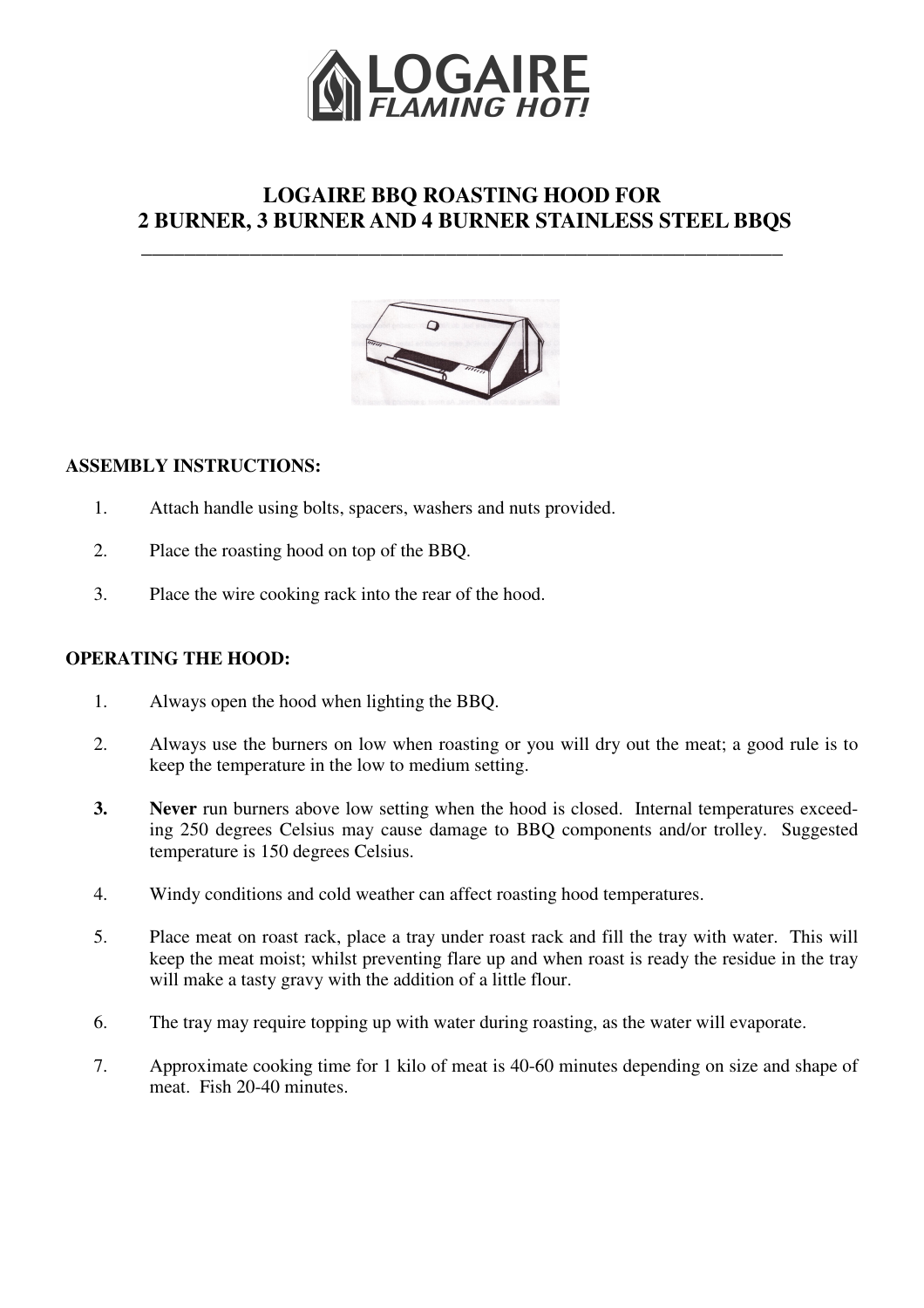

# **LOGAIRE BBQ ROASTING HOOD FOR 2 BURNER, 3 BURNER AND 4 BURNER STAINLESS STEEL BBQS**

**\_\_\_\_\_\_\_\_\_\_\_\_\_\_\_\_\_\_\_\_\_\_\_\_\_\_\_\_\_\_\_\_\_\_\_\_\_\_\_\_\_\_\_\_\_\_\_\_\_\_\_\_\_\_\_\_\_\_\_**



## **ASSEMBLY INSTRUCTIONS:**

- 1. Attach handle using bolts, spacers, washers and nuts provided.
- 2. Place the roasting hood on top of the BBQ.
- 3. Place the wire cooking rack into the rear of the hood.

### **OPERATING THE HOOD:**

- 1. Always open the hood when lighting the BBQ.
- 2. Always use the burners on low when roasting or you will dry out the meat; a good rule is to keep the temperature in the low to medium setting.
- **3. Never** run burners above low setting when the hood is closed. Internal temperatures exceeding 250 degrees Celsius may cause damage to BBQ components and/or trolley. Suggested temperature is 150 degrees Celsius.
- 4. Windy conditions and cold weather can affect roasting hood temperatures.
- 5. Place meat on roast rack, place a tray under roast rack and fill the tray with water. This will keep the meat moist; whilst preventing flare up and when roast is ready the residue in the tray will make a tasty gravy with the addition of a little flour.
- 6. The tray may require topping up with water during roasting, as the water will evaporate.
- 7. Approximate cooking time for 1 kilo of meat is 40-60 minutes depending on size and shape of meat. Fish 20-40 minutes.